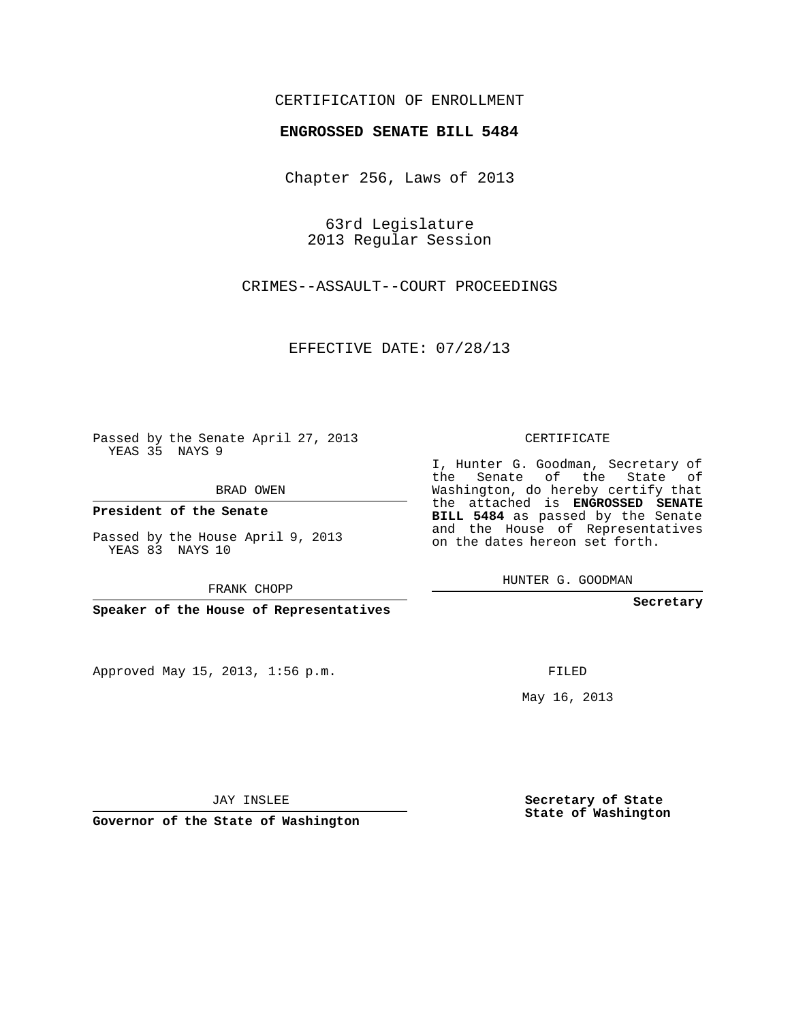## CERTIFICATION OF ENROLLMENT

## **ENGROSSED SENATE BILL 5484**

Chapter 256, Laws of 2013

63rd Legislature 2013 Regular Session

CRIMES--ASSAULT--COURT PROCEEDINGS

EFFECTIVE DATE: 07/28/13

Passed by the Senate April 27, 2013 YEAS 35 NAYS 9

BRAD OWEN

**President of the Senate**

Passed by the House April 9, 2013 YEAS 83 NAYS 10

FRANK CHOPP

**Speaker of the House of Representatives**

Approved May 15, 2013, 1:56 p.m.

CERTIFICATE

I, Hunter G. Goodman, Secretary of the Senate of the State of Washington, do hereby certify that the attached is **ENGROSSED SENATE BILL 5484** as passed by the Senate and the House of Representatives on the dates hereon set forth.

HUNTER G. GOODMAN

**Secretary**

FILED

May 16, 2013

**Secretary of State State of Washington**

JAY INSLEE

**Governor of the State of Washington**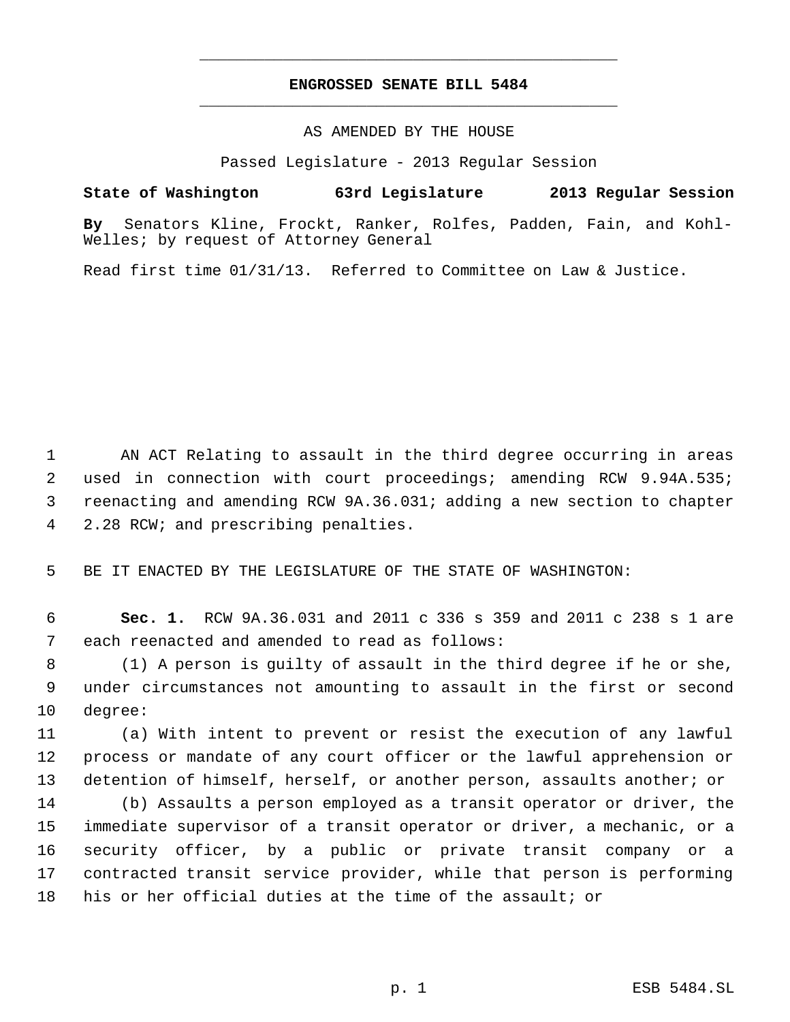## **ENGROSSED SENATE BILL 5484** \_\_\_\_\_\_\_\_\_\_\_\_\_\_\_\_\_\_\_\_\_\_\_\_\_\_\_\_\_\_\_\_\_\_\_\_\_\_\_\_\_\_\_\_\_

\_\_\_\_\_\_\_\_\_\_\_\_\_\_\_\_\_\_\_\_\_\_\_\_\_\_\_\_\_\_\_\_\_\_\_\_\_\_\_\_\_\_\_\_\_

AS AMENDED BY THE HOUSE

Passed Legislature - 2013 Regular Session

**State of Washington 63rd Legislature 2013 Regular Session**

**By** Senators Kline, Frockt, Ranker, Rolfes, Padden, Fain, and Kohl-Welles; by request of Attorney General

Read first time 01/31/13. Referred to Committee on Law & Justice.

 AN ACT Relating to assault in the third degree occurring in areas used in connection with court proceedings; amending RCW 9.94A.535; reenacting and amending RCW 9A.36.031; adding a new section to chapter 2.28 RCW; and prescribing penalties.

BE IT ENACTED BY THE LEGISLATURE OF THE STATE OF WASHINGTON:

 **Sec. 1.** RCW 9A.36.031 and 2011 c 336 s 359 and 2011 c 238 s 1 are each reenacted and amended to read as follows:

 (1) A person is guilty of assault in the third degree if he or she, under circumstances not amounting to assault in the first or second degree:

 (a) With intent to prevent or resist the execution of any lawful process or mandate of any court officer or the lawful apprehension or detention of himself, herself, or another person, assaults another; or

 (b) Assaults a person employed as a transit operator or driver, the immediate supervisor of a transit operator or driver, a mechanic, or a security officer, by a public or private transit company or a contracted transit service provider, while that person is performing his or her official duties at the time of the assault; or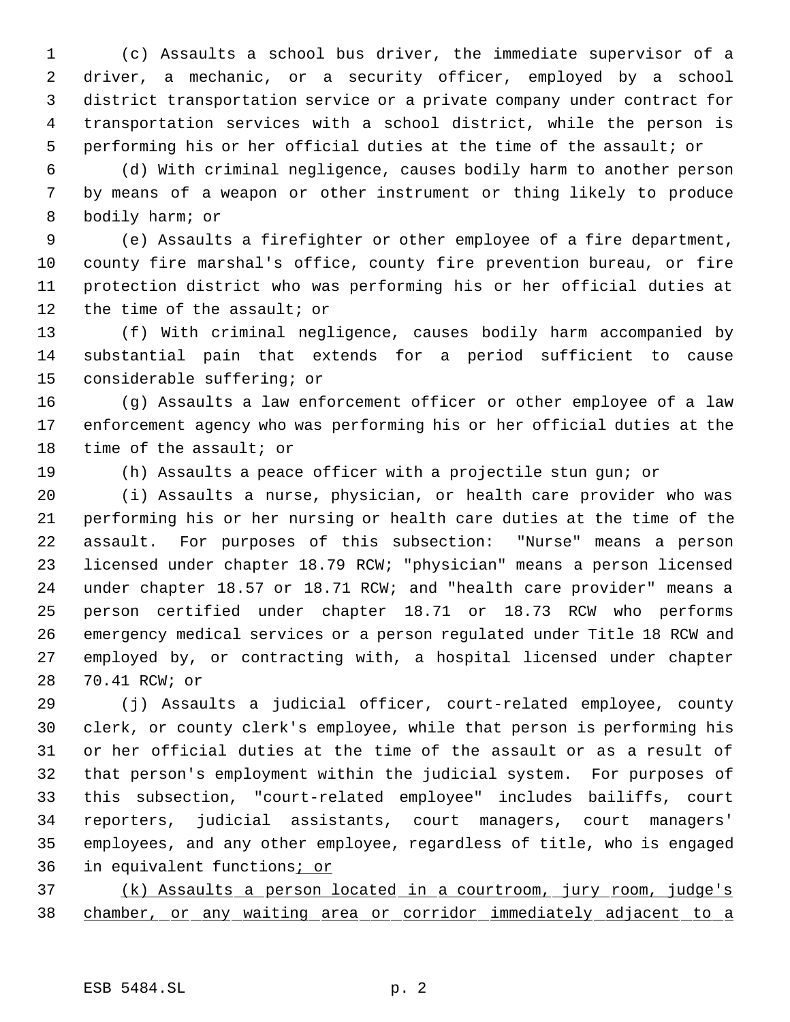(c) Assaults a school bus driver, the immediate supervisor of a driver, a mechanic, or a security officer, employed by a school district transportation service or a private company under contract for transportation services with a school district, while the person is performing his or her official duties at the time of the assault; or

 (d) With criminal negligence, causes bodily harm to another person by means of a weapon or other instrument or thing likely to produce bodily harm; or

 (e) Assaults a firefighter or other employee of a fire department, county fire marshal's office, county fire prevention bureau, or fire protection district who was performing his or her official duties at 12 the time of the assault; or

 (f) With criminal negligence, causes bodily harm accompanied by substantial pain that extends for a period sufficient to cause considerable suffering; or

 (g) Assaults a law enforcement officer or other employee of a law enforcement agency who was performing his or her official duties at the time of the assault; or

(h) Assaults a peace officer with a projectile stun gun; or

 (i) Assaults a nurse, physician, or health care provider who was performing his or her nursing or health care duties at the time of the assault. For purposes of this subsection: "Nurse" means a person licensed under chapter 18.79 RCW; "physician" means a person licensed under chapter 18.57 or 18.71 RCW; and "health care provider" means a person certified under chapter 18.71 or 18.73 RCW who performs emergency medical services or a person regulated under Title 18 RCW and employed by, or contracting with, a hospital licensed under chapter 70.41 RCW; or

 (j) Assaults a judicial officer, court-related employee, county clerk, or county clerk's employee, while that person is performing his or her official duties at the time of the assault or as a result of that person's employment within the judicial system. For purposes of this subsection, "court-related employee" includes bailiffs, court reporters, judicial assistants, court managers, court managers' employees, and any other employee, regardless of title, who is engaged 36 in equivalent functions; or

 (k) Assaults a person located in a courtroom, jury room, judge's chamber, or any waiting area or corridor immediately adjacent to a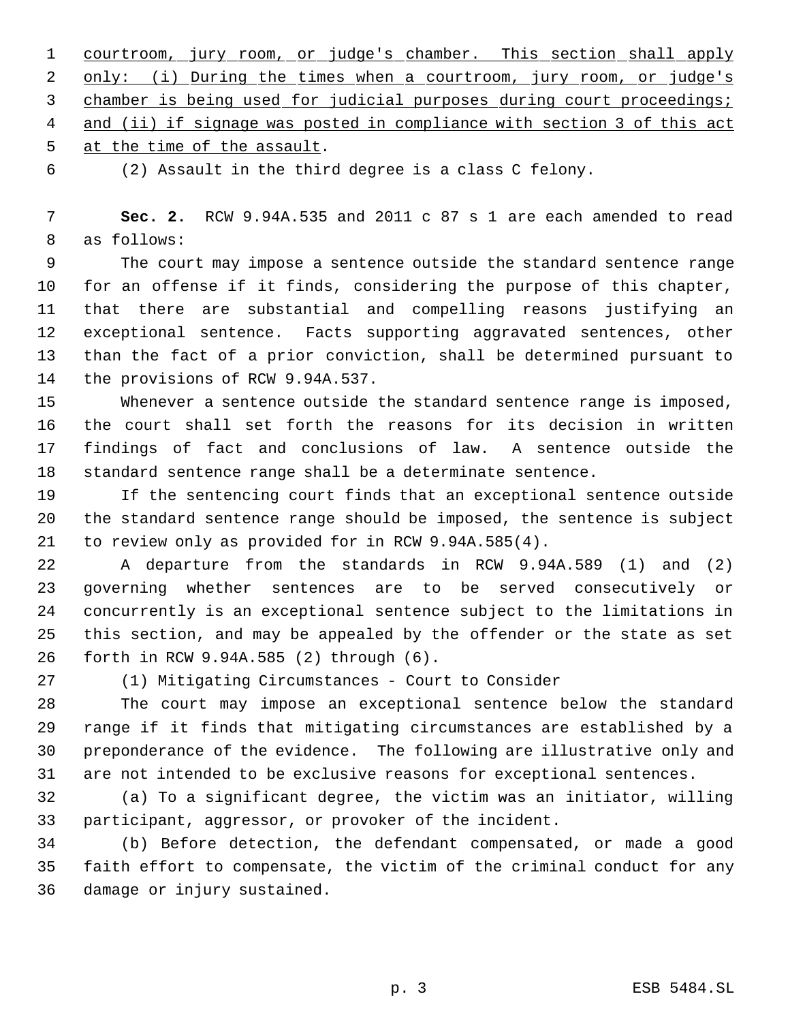courtroom, jury room, or judge's chamber. This section shall apply 2 only: (i) During the times when a courtroom, jury room, or judge's 3 chamber is being used for judicial purposes during court proceedings; 4 and (ii) if signage was posted in compliance with section 3 of this act at the time of the assault.

(2) Assault in the third degree is a class C felony.

 **Sec. 2.** RCW 9.94A.535 and 2011 c 87 s 1 are each amended to read as follows:

 The court may impose a sentence outside the standard sentence range for an offense if it finds, considering the purpose of this chapter, that there are substantial and compelling reasons justifying an exceptional sentence. Facts supporting aggravated sentences, other than the fact of a prior conviction, shall be determined pursuant to the provisions of RCW 9.94A.537.

 Whenever a sentence outside the standard sentence range is imposed, the court shall set forth the reasons for its decision in written findings of fact and conclusions of law. A sentence outside the standard sentence range shall be a determinate sentence.

 If the sentencing court finds that an exceptional sentence outside the standard sentence range should be imposed, the sentence is subject to review only as provided for in RCW 9.94A.585(4).

 A departure from the standards in RCW 9.94A.589 (1) and (2) governing whether sentences are to be served consecutively or concurrently is an exceptional sentence subject to the limitations in this section, and may be appealed by the offender or the state as set forth in RCW 9.94A.585 (2) through (6).

(1) Mitigating Circumstances - Court to Consider

 The court may impose an exceptional sentence below the standard range if it finds that mitigating circumstances are established by a preponderance of the evidence. The following are illustrative only and are not intended to be exclusive reasons for exceptional sentences.

 (a) To a significant degree, the victim was an initiator, willing participant, aggressor, or provoker of the incident.

 (b) Before detection, the defendant compensated, or made a good faith effort to compensate, the victim of the criminal conduct for any damage or injury sustained.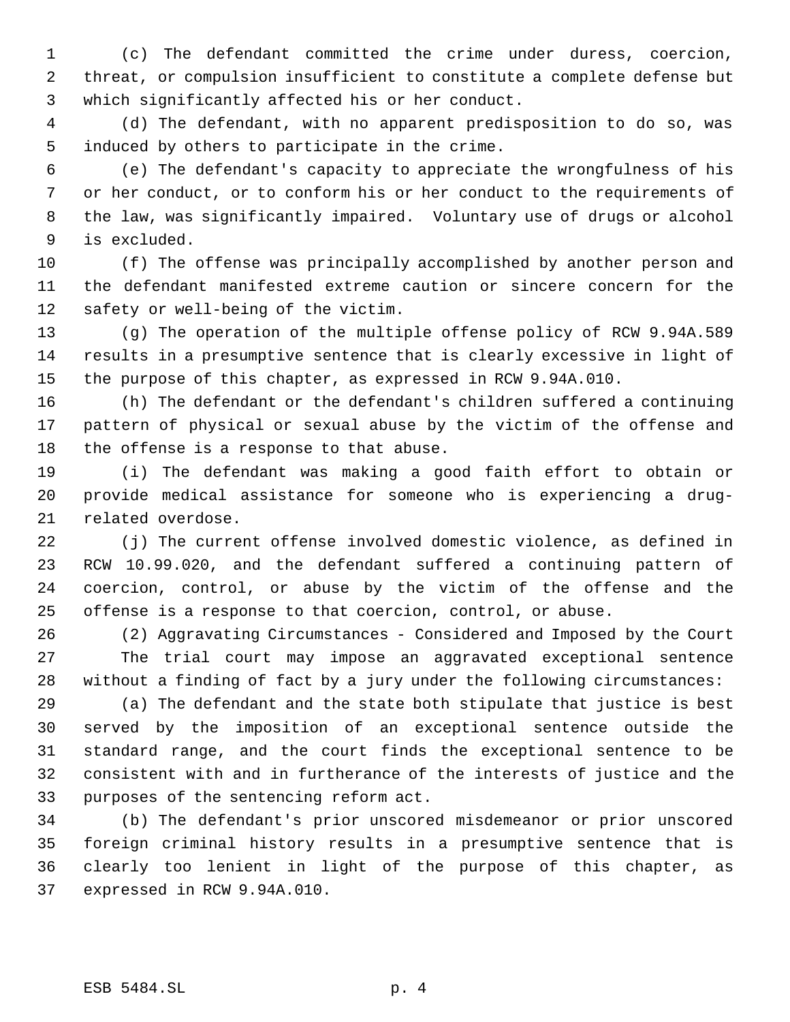(c) The defendant committed the crime under duress, coercion, threat, or compulsion insufficient to constitute a complete defense but which significantly affected his or her conduct.

 (d) The defendant, with no apparent predisposition to do so, was induced by others to participate in the crime.

 (e) The defendant's capacity to appreciate the wrongfulness of his or her conduct, or to conform his or her conduct to the requirements of the law, was significantly impaired. Voluntary use of drugs or alcohol is excluded.

 (f) The offense was principally accomplished by another person and the defendant manifested extreme caution or sincere concern for the safety or well-being of the victim.

 (g) The operation of the multiple offense policy of RCW 9.94A.589 results in a presumptive sentence that is clearly excessive in light of the purpose of this chapter, as expressed in RCW 9.94A.010.

 (h) The defendant or the defendant's children suffered a continuing pattern of physical or sexual abuse by the victim of the offense and the offense is a response to that abuse.

 (i) The defendant was making a good faith effort to obtain or provide medical assistance for someone who is experiencing a drug-related overdose.

 (j) The current offense involved domestic violence, as defined in RCW 10.99.020, and the defendant suffered a continuing pattern of coercion, control, or abuse by the victim of the offense and the offense is a response to that coercion, control, or abuse.

 (2) Aggravating Circumstances - Considered and Imposed by the Court The trial court may impose an aggravated exceptional sentence without a finding of fact by a jury under the following circumstances:

 (a) The defendant and the state both stipulate that justice is best served by the imposition of an exceptional sentence outside the standard range, and the court finds the exceptional sentence to be consistent with and in furtherance of the interests of justice and the purposes of the sentencing reform act.

 (b) The defendant's prior unscored misdemeanor or prior unscored foreign criminal history results in a presumptive sentence that is clearly too lenient in light of the purpose of this chapter, as expressed in RCW 9.94A.010.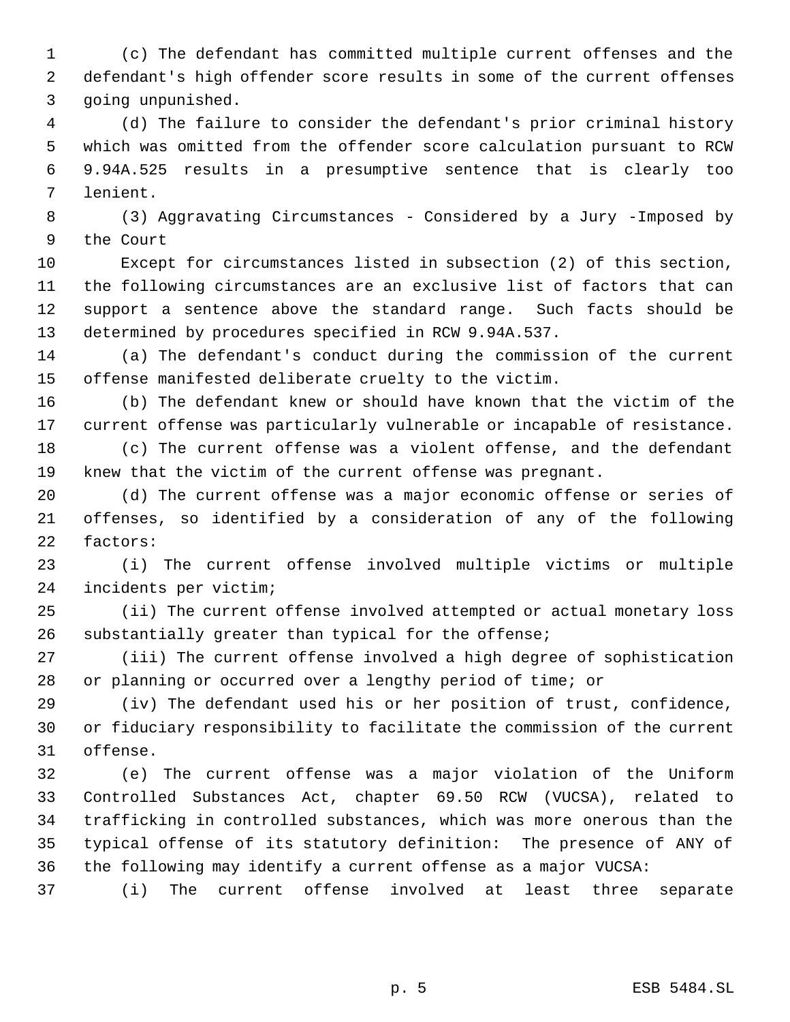(c) The defendant has committed multiple current offenses and the defendant's high offender score results in some of the current offenses going unpunished.

 (d) The failure to consider the defendant's prior criminal history which was omitted from the offender score calculation pursuant to RCW 9.94A.525 results in a presumptive sentence that is clearly too lenient.

 (3) Aggravating Circumstances - Considered by a Jury -Imposed by the Court

 Except for circumstances listed in subsection (2) of this section, the following circumstances are an exclusive list of factors that can support a sentence above the standard range. Such facts should be determined by procedures specified in RCW 9.94A.537.

 (a) The defendant's conduct during the commission of the current offense manifested deliberate cruelty to the victim.

 (b) The defendant knew or should have known that the victim of the current offense was particularly vulnerable or incapable of resistance. (c) The current offense was a violent offense, and the defendant

knew that the victim of the current offense was pregnant.

 (d) The current offense was a major economic offense or series of offenses, so identified by a consideration of any of the following factors:

 (i) The current offense involved multiple victims or multiple incidents per victim;

 (ii) The current offense involved attempted or actual monetary loss substantially greater than typical for the offense;

 (iii) The current offense involved a high degree of sophistication or planning or occurred over a lengthy period of time; or

 (iv) The defendant used his or her position of trust, confidence, or fiduciary responsibility to facilitate the commission of the current offense.

 (e) The current offense was a major violation of the Uniform Controlled Substances Act, chapter 69.50 RCW (VUCSA), related to trafficking in controlled substances, which was more onerous than the typical offense of its statutory definition: The presence of ANY of the following may identify a current offense as a major VUCSA:

(i) The current offense involved at least three separate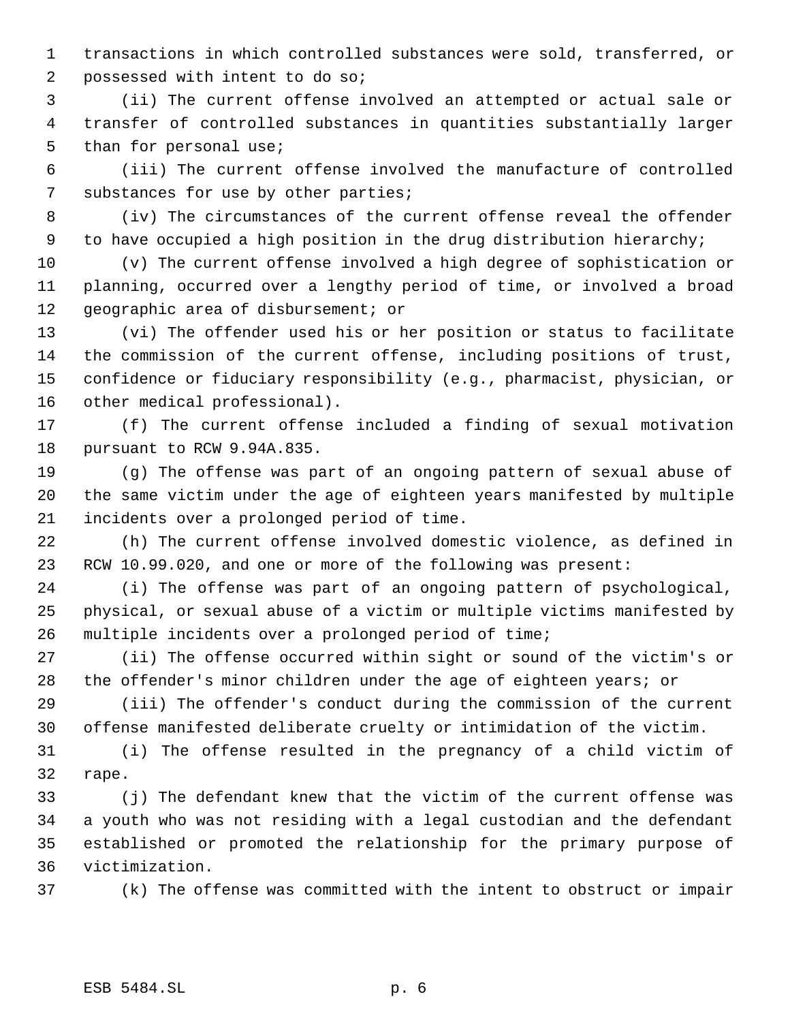transactions in which controlled substances were sold, transferred, or possessed with intent to do so;

 (ii) The current offense involved an attempted or actual sale or transfer of controlled substances in quantities substantially larger 5 than for personal use;

 (iii) The current offense involved the manufacture of controlled substances for use by other parties;

 (iv) The circumstances of the current offense reveal the offender to have occupied a high position in the drug distribution hierarchy;

 (v) The current offense involved a high degree of sophistication or planning, occurred over a lengthy period of time, or involved a broad geographic area of disbursement; or

 (vi) The offender used his or her position or status to facilitate the commission of the current offense, including positions of trust, confidence or fiduciary responsibility (e.g., pharmacist, physician, or other medical professional).

 (f) The current offense included a finding of sexual motivation pursuant to RCW 9.94A.835.

 (g) The offense was part of an ongoing pattern of sexual abuse of the same victim under the age of eighteen years manifested by multiple incidents over a prolonged period of time.

 (h) The current offense involved domestic violence, as defined in RCW 10.99.020, and one or more of the following was present:

 (i) The offense was part of an ongoing pattern of psychological, physical, or sexual abuse of a victim or multiple victims manifested by multiple incidents over a prolonged period of time;

 (ii) The offense occurred within sight or sound of the victim's or the offender's minor children under the age of eighteen years; or

 (iii) The offender's conduct during the commission of the current offense manifested deliberate cruelty or intimidation of the victim.

 (i) The offense resulted in the pregnancy of a child victim of rape.

 (j) The defendant knew that the victim of the current offense was a youth who was not residing with a legal custodian and the defendant established or promoted the relationship for the primary purpose of victimization.

(k) The offense was committed with the intent to obstruct or impair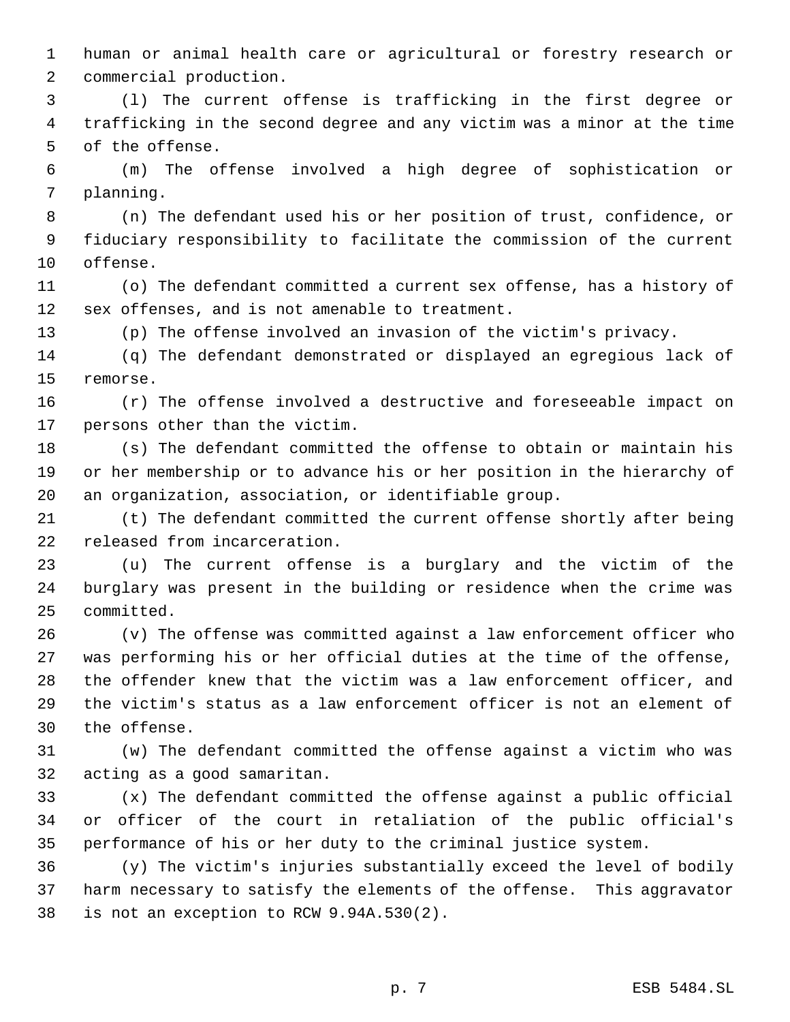human or animal health care or agricultural or forestry research or commercial production.

 (l) The current offense is trafficking in the first degree or trafficking in the second degree and any victim was a minor at the time of the offense.

 (m) The offense involved a high degree of sophistication or planning.

 (n) The defendant used his or her position of trust, confidence, or fiduciary responsibility to facilitate the commission of the current offense.

 (o) The defendant committed a current sex offense, has a history of sex offenses, and is not amenable to treatment.

(p) The offense involved an invasion of the victim's privacy.

 (q) The defendant demonstrated or displayed an egregious lack of remorse.

 (r) The offense involved a destructive and foreseeable impact on persons other than the victim.

 (s) The defendant committed the offense to obtain or maintain his or her membership or to advance his or her position in the hierarchy of an organization, association, or identifiable group.

 (t) The defendant committed the current offense shortly after being released from incarceration.

 (u) The current offense is a burglary and the victim of the burglary was present in the building or residence when the crime was committed.

 (v) The offense was committed against a law enforcement officer who was performing his or her official duties at the time of the offense, the offender knew that the victim was a law enforcement officer, and the victim's status as a law enforcement officer is not an element of the offense.

 (w) The defendant committed the offense against a victim who was acting as a good samaritan.

 (x) The defendant committed the offense against a public official or officer of the court in retaliation of the public official's performance of his or her duty to the criminal justice system.

 (y) The victim's injuries substantially exceed the level of bodily harm necessary to satisfy the elements of the offense. This aggravator is not an exception to RCW 9.94A.530(2).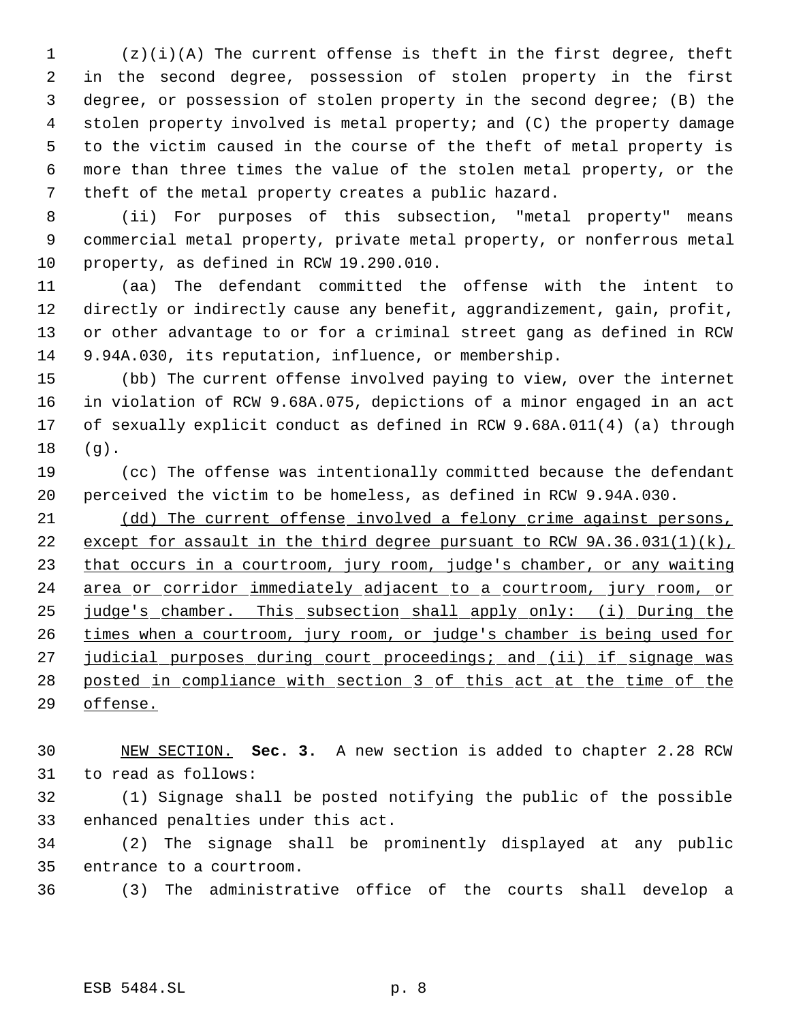(z)(i)(A) The current offense is theft in the first degree, theft in the second degree, possession of stolen property in the first degree, or possession of stolen property in the second degree; (B) the stolen property involved is metal property; and (C) the property damage to the victim caused in the course of the theft of metal property is more than three times the value of the stolen metal property, or the theft of the metal property creates a public hazard.

 (ii) For purposes of this subsection, "metal property" means commercial metal property, private metal property, or nonferrous metal property, as defined in RCW 19.290.010.

 (aa) The defendant committed the offense with the intent to directly or indirectly cause any benefit, aggrandizement, gain, profit, or other advantage to or for a criminal street gang as defined in RCW 9.94A.030, its reputation, influence, or membership.

 (bb) The current offense involved paying to view, over the internet in violation of RCW 9.68A.075, depictions of a minor engaged in an act of sexually explicit conduct as defined in RCW 9.68A.011(4) (a) through (g).

 (cc) The offense was intentionally committed because the defendant perceived the victim to be homeless, as defined in RCW 9.94A.030.

 (dd) The current offense involved a felony crime against persons, 22 except for assault in the third degree pursuant to RCW 9A.36.031(1)(k), 23 that occurs in a courtroom, jury room, judge's chamber, or any waiting 24 area or corridor immediately adjacent to a courtroom, jury room, or judge's chamber. This subsection shall apply only: (i) During the times when a courtroom, jury room, or judge's chamber is being used for 27 judicial purposes during court proceedings; and (ii) if signage was posted in compliance with section 3 of this act at the time of the offense.

 NEW SECTION. **Sec. 3.** A new section is added to chapter 2.28 RCW to read as follows:

 (1) Signage shall be posted notifying the public of the possible enhanced penalties under this act.

 (2) The signage shall be prominently displayed at any public entrance to a courtroom.

(3) The administrative office of the courts shall develop a